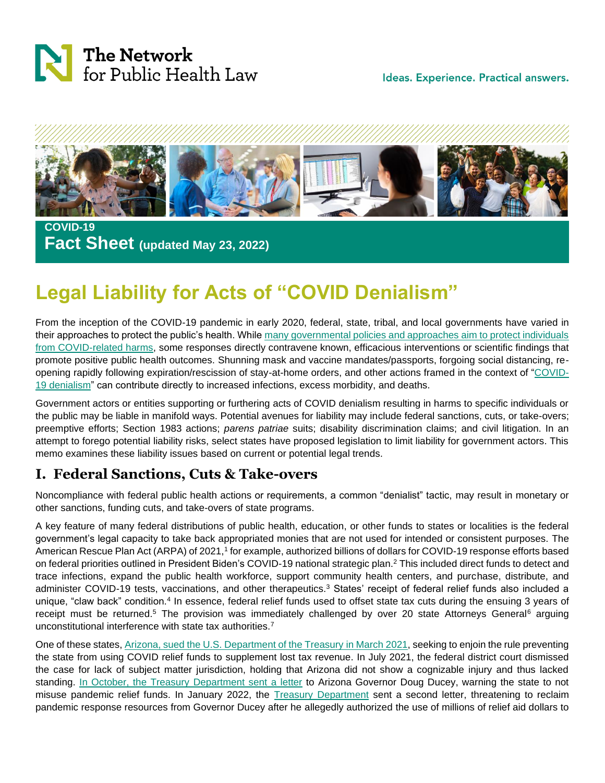

Ideas. Experience. Practical answers.



 **COVID-19 Fact Sheet (updated May 23, 2022)**

# **Legal Liability for Acts of "COVID Denialism"**

From the inception of the COVID-19 pandemic in early 2020, federal, state, tribal, and local governments have varied in their approaches to protect the public's health. While [many governmental policies and approaches aim to protect individuals](https://www.networkforphl.org/news-insights/a-growing-body-of-evidence-can-help-make-the-case-for-public-health-laws-to-mitigate-the-impacts-of-covid-19/?blm_aid=1807309828)  [from COVID-related harms,](https://www.networkforphl.org/news-insights/a-growing-body-of-evidence-can-help-make-the-case-for-public-health-laws-to-mitigate-the-impacts-of-covid-19/?blm_aid=1807309828) some responses directly contravene known, efficacious interventions or scientific findings that promote positive public health outcomes. Shunning mask and vaccine mandates/passports, forgoing social distancing, reopening rapidly following expiration/rescission of stay-at-home orders, and other actions framed in the context of ["COVID-](https://www.cambridge.org/core/journals/journal-of-law-medicine-and-ethics/article/abs/legal-interventions-to-counter-covid19-denialism/49ACA653F7780386F81283DFE1CDDC4A)[19 denialism"](https://www.cambridge.org/core/journals/journal-of-law-medicine-and-ethics/article/abs/legal-interventions-to-counter-covid19-denialism/49ACA653F7780386F81283DFE1CDDC4A) can contribute directly to increased infections, excess morbidity, and deaths.

Government actors or entities supporting or furthering acts of COVID denialism resulting in harms to specific individuals or the public may be liable in manifold ways. Potential avenues for liability may include federal sanctions, cuts, or take-overs; preemptive efforts; Section 1983 actions; *parens patriae* suits; disability discrimination claims; and civil litigation. In an attempt to forego potential liability risks, select states have proposed legislation to limit liability for government actors. This memo examines these liability issues based on current or potential legal trends.

## **I. Federal Sanctions, Cuts & Take-overs**

Noncompliance with federal public health actions or requirements, a common "denialist" tactic, may result in monetary or other sanctions, funding cuts, and take-overs of state programs.

A key feature of many federal distributions of public health, education, or other funds to states or localities is the federal government's legal capacity to take back appropriated monies that are not used for intended or consistent purposes. The American Rescue Plan Act (ARPA) of 2021,<sup>1</sup> for example, authorized billions of dollars for COVID-19 response efforts based on federal priorities outlined in President Biden's COVID-19 national strategic plan.<sup>2</sup> This included direct funds to detect and trace infections, expand the public health workforce, support community health centers, and purchase, distribute, and administer COVID-19 tests, vaccinations, and other therapeutics.<sup>3</sup> States' receipt of federal relief funds also included a unique, "claw back" condition.<sup>4</sup> In essence, federal relief funds used to offset state tax cuts during the ensuing 3 years of receipt must be returned.<sup>5</sup> The provision was immediately challenged by over 20 state Attorneys General<sup>6</sup> arguing unconstitutional interference with state tax authorities.<sup>7</sup>

One of these states, [Arizona, sued the U.S. Department of the Treasury in March 2021,](https://www.law360.com/tax-authority/articles/1368874/attachments/0) seeking to enjoin the rule preventing the state from using COVID relief funds to supplement lost tax revenue. In July 2021, the federal district court dismissed the case for lack of subject matter jurisdiction, holding that Arizona did not show a cognizable injury and thus lacked standing. [In October, the Treasury Department sent a letter](https://www.nytimes.com/2021/10/05/us/politics/arizona-relief-funds-mask-mandates.html) to Arizona Governor Doug Ducey, warning the state to not misuse pandemic relief funds. In January 2022, the [Treasury Department](https://www.nytimes.com/live/2022/01/14/world/omicron-covid-vaccine-tests/the-treasury-department-threatens-to-keep-relief-funds-from-arizona-for-using-it-to-fight-school-mask-rules) sent a second letter, threatening to reclaim pandemic response resources from Governor Ducey after he allegedly authorized the use of millions of relief aid dollars to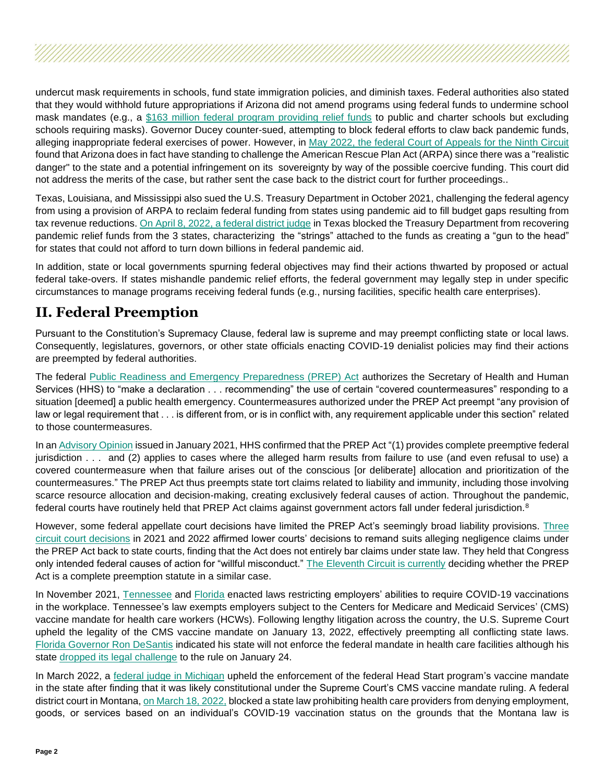undercut mask requirements in schools, fund state immigration policies, and diminish taxes. Federal authorities also stated that they would withhold future appropriations if Arizona did not amend programs using federal funds to undermine school mask mandates (e.g., a [\\$163 million federal program providing relief funds](https://www.nytimes.com/2022/01/21/us/politics/arizona-sues-covid-masks.html) to public and charter schools but excluding schools requiring masks). Governor Ducey counter-sued, attempting to block federal efforts to claw back pandemic funds, alleging inappropriate federal exercises of power. However, in May 2022, the [federal Court of Appeals for the Ninth Circuit](https://www.courthousenews.com/wp-content/uploads/2022/05/21-16227.pdf) found that Arizona does in fact have standing to challenge the American Rescue Plan Act (ARPA) since there was a "realistic danger" to the state and a potential infringement on its sovereignty by way of the possible coercive funding. This court did not address the merits of the case, but rather sent the case back to the district court for further proceedings..

Texas, Louisiana, and Mississippi also sued the U.S. Treasury Department in October 2021, challenging the federal agency from using a provision of ARPA to reclaim federal funding from states using pandemic aid to fill budget gaps resulting from tax revenue reductions. [On April 8, 2022, a federal district judge](https://www.govinfo.gov/content/pkg/USCOURTS-txnd-2_21-cv-00079/pdf/USCOURTS-txnd-2_21-cv-00079-0.pdf) in Texas blocked the Treasury Department from recovering pandemic relief funds from the 3 states, characterizing the "strings" attached to the funds as creating a "gun to the head" for states that could not afford to turn down billions in federal pandemic aid.

In addition, state or local governments spurning federal objectives may find their actions thwarted by proposed or actual federal take-overs. If states mishandle pandemic relief efforts, the federal government may legally step in under specific circumstances to manage programs receiving federal funds (e.g., nursing facilities, specific health care enterprises).

## **II. Federal Preemption**

Pursuant to the Constitution's Supremacy Clause, federal law is supreme and may preempt conflicting state or local laws. Consequently, legislatures, governors, or other state officials enacting COVID-19 denialist policies may find their actions are preempted by federal authorities.

The federal [Public Readiness and Emergency Preparedness \(PREP\) Act](https://aspr.hhs.gov/legal/PREPact/Pages/default.aspx) authorizes the Secretary of Health and Human Services (HHS) to "make a declaration . . . recommending" the use of certain "covered countermeasures" responding to a situation [deemed] a public health emergency. Countermeasures authorized under the PREP Act preempt "any provision of law or legal requirement that . . . is different from, or is in conflict with, any requirement applicable under this section" related to those countermeasures.

In an [Advisory Opinion](https://www.seyfarth.com/news-insights/new-hhs-advisory-opinion-confirms-complete-federal-preemption-for-prep-act-cases-and-applicability-of-the-acts-defenses-in-non-use-situations.html) issued in January 2021, HHS confirmed that the PREP Act "(1) provides complete preemptive federal jurisdiction . . . and (2) applies to cases where the alleged harm results from failure to use (and even refusal to use) a covered countermeasure when that failure arises out of the conscious [or deliberate] allocation and prioritization of the countermeasures." The PREP Act thus preempts state tort claims related to liability and immunity, including those involving scarce resource allocation and decision-making, creating exclusively federal causes of action. Throughout the pandemic, federal courts have routinely held that PREP Act claims against government actors fall under federal jurisdiction.<sup>8</sup>

However, some federal appellate court decisions have limited the PREP Act's seemingly broad liability provisions. [Three](https://www.bloomberglaw.com/product/blaw/search/results/e8c3607f010b589cc7c7bbe24af52a4e/?utm_source=ANT&utm_medium=ANP)  [circuit court decisions](https://www.bloomberglaw.com/product/blaw/search/results/e8c3607f010b589cc7c7bbe24af52a4e/?utm_source=ANT&utm_medium=ANP) in 2021 and 2022 affirmed lower courts' decisions to remand suits alleging negligence claims under the PREP Act back to state courts, finding that the Act does not entirely bar claims under state law. They held that Congress only intended federal causes of action for "willful misconduct." [The Eleventh Circuit is currently](https://www.bloomberglaw.com/document/X1Q6OBPBG682?) deciding whether the PREP Act is a complete preemption statute in a similar case.

In November 2021, [Tennessee](https://www.capitol.tn.gov/Bills/112/CCRReports/CC9002.pdf) and [Florida](http://www.leg.state.fl.us/statutes/index.cfm?App_mode=Display_Statute&Search_String=&URL=0300-0399/0381/Sections/0381.00317.html) enacted laws restricting employers' abilities to require COVID-19 vaccinations in the workplace. Tennessee's law exempts employers subject to the Centers for Medicare and Medicaid Services' (CMS) vaccine mandate for health care workers (HCWs). Following lengthy litigation across the country, the U.S. Supreme Court upheld the legality of the CMS vaccine mandate on January 13, 2022, effectively preempting all conflicting state laws. [Florida Governor Ron DeSantis](https://www.beckershospitalreview.com/legal-regulatory-issues/desantis-casts-aside-cms-vaccine-rule-for-hospitals.html) indicated his state will not enforce the federal mandate in health care facilities although his state [dropped its legal challenge](https://www.beckershospitalreview.com/legal-regulatory-issues/florida-drops-appeal-against-federal-vaccination-rule-for-healthcare-workers.html) to the rule on January 24.

In March 2022, a [federal judge in Michigan](https://www.courthousenews.com/wp-content/uploads/2022/03/head-start-injunction-michigan-ruling.pdf) upheld the enforcement of the federal Head Start program's vaccine mandate in the state after finding that it was likely constitutional under the Supreme Court's CMS vaccine mandate ruling. A federal district court in Montana, [on March 18, 2022,](https://www.bloomberglaw.com/document/X14RFPG7G000N?) blocked a state law prohibiting health care providers from denying employment, goods, or services based on an individual's COVID-19 vaccination status on the grounds that the Montana law is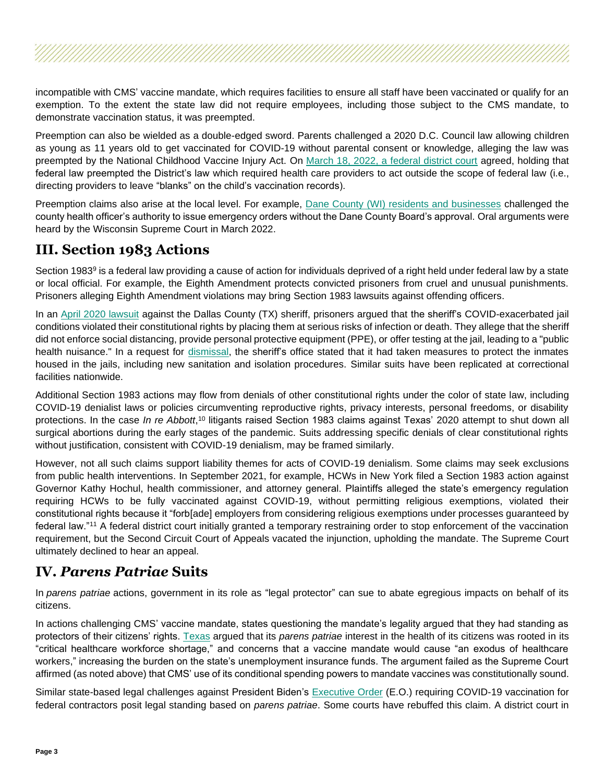incompatible with CMS' vaccine mandate, which requires facilities to ensure all staff have been vaccinated or qualify for an exemption. To the extent the state law did not require employees, including those subject to the CMS mandate, to demonstrate vaccination status, it was preempted.

Preemption can also be wielded as a double-edged sword. Parents challenged a 2020 D.C. Council law allowing children as young as 11 years old to get vaccinated for COVID-19 without parental consent or knowledge, alleging the law was preempted by the National Childhood Vaccine Injury Act. On [March 18, 2022, a federal district court](https://www.govinfo.gov/content/pkg/USCOURTS-dcd-1_21-cv-01857/pdf/USCOURTS-dcd-1_21-cv-01857-0.pdf) agreed, holding that federal law preempted the District's law which required health care providers to act outside the scope of federal law (i.e., directing providers to leave "blanks" on the child's vaccination records).

Preemption claims also arise at the local level. For example, Dane County (WI) [residents and businesses](https://will-law.org/wp-content/uploads/2021/01/complaint-with-exhibits_redacted.pdf) challenged the county health officer's authority to issue emergency orders without the Dane County Board's approval. Oral arguments were heard by the Wisconsin Supreme Court in March 2022.

## **III. Section 1983 Actions**

Section 1983<sup>9</sup> is a federal law providing a cause of action for individuals deprived of a right held under federal law by a state or local official. For example, the Eighth Amendment protects convicted prisoners from cruel and unusual punishments. Prisoners alleging Eighth Amendment violations may bring Section 1983 lawsuits against offending officers.

In an [April 2020 lawsuit](https://www.texasattorneygeneral.gov/sites/default/files/images/admin/2020/Press/20200415_033.0_State%20Intervenor%20MTD%20Resp%20to%20Mtn%20TRO%20Class%20Cert.pdf) against the Dallas County (TX) sheriff, prisoners argued that the sheriff's COVID-exacerbated jail conditions violated their constitutional rights by placing them at serious risks of infection or death. They allege that the sheriff did not enforce social distancing, provide personal protective equipment (PPE), or offer testing at the jail, leading to a "public health nuisance." In a request for [dismissal,](https://webcache.googleusercontent.com/search?q=cache:Ty0dVtGfp8UJ:https://www.dallasnews.com/news/courts/2020/04/17/dallas-county-sheriff-brown-argues-inmate-lawsuit-should-be-tossed-governor-agrees/+&cd=1&hl=en&ct=clnk&gl=us) the sheriff's office stated that it had taken measures to protect the inmates housed in the jails, including new sanitation and isolation procedures. Similar suits have been replicated at correctional facilities nationwide.

Additional Section 1983 actions may flow from denials of other constitutional rights under the color of state law, including COVID-19 denialist laws or policies circumventing reproductive rights, privacy interests, personal freedoms, or disability protections. In the case *In re Abbott*,<sup>10</sup> litigants raised Section 1983 claims against Texas' 2020 attempt to shut down all surgical abortions during the early stages of the pandemic. Suits addressing specific denials of clear constitutional rights without justification, consistent with COVID-19 denialism, may be framed similarly.

However, not all such claims support liability themes for acts of COVID-19 denialism. Some claims may seek exclusions from public health interventions. In September 2021, for example, HCWs in New York filed a Section 1983 action against Governor Kathy Hochul, health commissioner, and attorney general. Plaintiffs alleged the state's emergency regulation requiring HCWs to be fully vaccinated against COVID-19, without permitting religious exemptions, violated their constitutional rights because it "forb[ade] employers from considering religious exemptions under processes guaranteed by federal law."<sup>11</sup> A federal district court initially granted a temporary restraining order to stop enforcement of the vaccination requirement, but the Second Circuit Court of Appeals vacated the injunction, upholding the mandate. The Supreme Court ultimately declined to hear an appeal.

## **IV.** *Parens Patriae* **Suits**

In *parens patriae* actions, government in its role as "legal protector" can sue to abate egregious impacts on behalf of its citizens.

In actions challenging CMS' vaccine mandate, states questioning the mandate's legality argued that they had standing as protectors of their citizens' rights. [Texas](https://www.texasattorneygeneral.gov/sites/default/files/global/images/20211115%20001%20Original%20Complaint.pdf) argued that its *parens patriae* interest in the health of its citizens was rooted in its "critical healthcare workforce shortage," and concerns that a vaccine mandate would cause "an exodus of healthcare workers," increasing the burden on the state's unemployment insurance funds. The argument failed as the Supreme Court affirmed (as noted above) that CMS' use of its conditional spending powers to mandate vaccines was constitutionally sound.

Similar state-based legal challenges against President Biden's [Executive Order](https://www.whitehouse.gov/briefing-room/presidential-actions/2021/09/09/executive-order-on-ensuring-adequate-covid-safety-protocols-for-federal-contractors/) (E.O.) requiring COVID-19 vaccination for federal contractors posit legal standing based on *parens patriae*. Some courts have rebuffed this claim. A district court in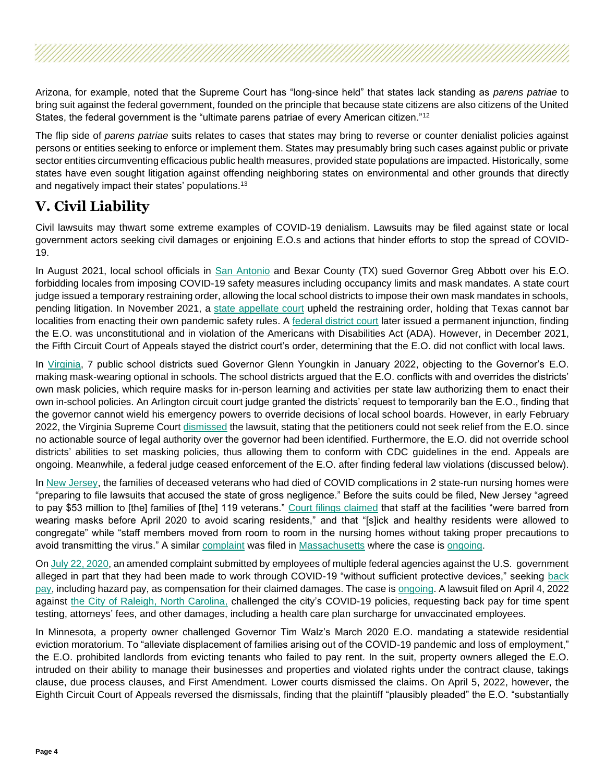Arizona, for example, noted that the Supreme Court has "long-since held" that states lack standing as *parens patriae* to bring suit against the federal government, founded on the principle that because state citizens are also citizens of the United States, the federal government is the "ultimate parens patriae of every American citizen."<sup>12</sup>

The flip side of *parens patriae* suits relates to cases that states may bring to reverse or counter denialist policies against persons or entities seeking to enforce or implement them. States may presumably bring such cases against public or private sector entities circumventing efficacious public health measures, provided state populations are impacted. Historically, some states have even sought litigation against offending neighboring states on environmental and other grounds that directly and negatively impact their states' populations. 13

## **V. Civil Liability**

Civil lawsuits may thwart some extreme examples of COVID-19 denialism. Lawsuits may be filed against state or local government actors seeking civil damages or enjoining E.O.s and actions that hinder efforts to stop the spread of COVID-19.

In August 2021, local school officials in [San Antonio](https://www.expressnews.com/coronavirus/article/San-Antonio-Bexar-sue-Abbott-COVID-mask-16376946.php) and Bexar County (TX) sued Governor Greg Abbott over his E.O. forbidding locales from imposing COVID-19 safety measures including occupancy limits and mask mandates. A state court judge issued a temporary restraining order, allowing the local school districts to impose their own mask mandates in schools, pending litigation. In November 2021, a [state appellate court](https://www.bloomberglaw.com/product/blaw/document/X1K3LPPPG000N?criteria_id=57f593794291f1c62fb5fe65ac39d6d7&navCriteriaId=6474f7d56467691724add5c05c64a95e&searchGuid=f419ed48-d66e-4f33-b361-9d935eca8e49&search32=i4LogNtJjla6WCNeE7YK5w%3D%3DYswRtuefHqkt_1UFxsTaWgERuo_PCYRTAprdRwkZRcKM36l3LFhKWU5_9lNa3zWuw5MJjSTzXeG3XxUwlPPEP2acHDOOE8Mx070-U7e7T1FkonkQvw8fE0TuhdZV0f4PkqH6T3wR40E_mZgGqeDdoyK-RZphZAj4oABy7oaBgzQ96FbFEsaBS_nVjdkDpvIxDY0YzZXtln6-60jhHfSvy-UQVeNfZ53uho6u_iEkG0Xyjlv-ht8KqI5QA2_2E0UwaoAbVtBiq7BxAMy2121YJxRKahX4xxSzm73oXY2yBXxHZYwjWQX34UEDlRxf85X8aqEHvcQPSgQ_ki-yNj8GAP3fipIy_9RSjW046P_P66-r3wAKMssc2PqgOCFIx2B7feJjyE7tMMNNcKJE12xC0ZErlJ-cUUkrza6qQz2zV-hg7Ump6QrQ0uHzksz0CnYRSiynofhmuqbLx_oVHr6AhQKwgfv6cLaxESmtunZtykoqv_Ej-Fal0f6I0jEg40WEWuTtUPXE_vPX-D9olrx4FZv0gW-s6QcsykZbkbIwU6NX-zTWCndr0zBK5AAL1n5w) upheld the restraining order, holding that Texas cannot bar localities from enacting their own pandemic safety rules. A [federal district court](https://static.texastribune.org/media/files/818cffd53a1c56117586f65abccc9e7a/ADA%20Mask%20Lawsuit%20Order%202021-11-10.pdf?_ga=2.165932093.2045909600.1636400393-1925743713.1610117282) later issued a permanent injunction, finding the E.O. was unconstitutional and in violation of the Americans with Disabilities Act (ADA). However, in December 2021, the Fifth Circuit Court of Appeals stayed the district court's order, determining that the E.O. did not conflict with local laws.

In [Virginia,](https://www.nytimes.com/2022/01/24/us/virginia-mask-mandate-youngkin.html) 7 public school districts sued Governor Glenn Youngkin in January 2022, objecting to the Governor's E.O. making mask-wearing optional in schools. The school districts argued that the E.O. conflicts with and overrides the districts' own mask policies, which require masks for in-person learning and activities per state law authorizing them to enact their own in-school policies. An Arlington circuit court judge granted the districts' request to temporarily ban the E.O., finding that the governor cannot wield his emergency powers to override decisions of local school boards. However, in early February 2022, the Virginia Supreme Cour[t dismissed](https://www.oag.state.va.us/files/MIYARES2022/ORD02-07-2022Castillo,M.pdf) the lawsuit, stating that the petitioners could not seek relief from the E.O. since no actionable source of legal authority over the governor had been identified. Furthermore, the E.O. did not override school districts' abilities to set masking policies, thus allowing them to conform with CDC guidelines in the end. Appeals are ongoing. Meanwhile, a federal judge ceased enforcement of the E.O. after finding federal law violations (discussed below).

In [New Jersey,](https://www.nytimes.com/2022/01/07/nyregion/nj-nursing-home-covid-settlement.html) the families of deceased veterans who had died of COVID complications in 2 state-run nursing homes were "preparing to file lawsuits that accused the state of gross negligence." Before the suits could be filed, New Jersey "agreed to pay \$53 million to [the] families of [the] 119 veterans." [Court filings claimed](https://www.nytimes.com/2022/01/07/nyregion/nj-nursing-home-covid-settlement.html) that staff at the facilities "were barred from wearing masks before April 2020 to avoid scaring residents," and that "[s]ick and healthy residents were allowed to congregate" while "staff members moved from room to room in the nursing homes without taking proper precautions to avoid transmitting the virus." A similar [complaint](https://d279m997dpfwgl.cloudfront.net/wp/2020/07/2020-07-17-Original-Complaint.pdf) was filed in [Massachusetts](https://www.nytimes.com/2020/06/24/us/holyoke-soldiers-home.html) where the case is [ongoing.](https://www.bloomberglaw.com/product/blaw/document/X1Q6O79GCL82?criteria_id=817bd71e50aa880dcca9b323128e2a62&searchGuid=79536f98-b044-42ec-9011-a5f5a6a24014)

O[n July 22, 2020,](https://www.afge.org/globalassets/documents/generalreports/2020/braswell-et-al.-v.-united-states---amendedcomplaint.pdf) an amended complaint submitted by employees of multiple federal agencies against the U.S. government alleged in part that they had been made to work through COVID-19 "without sufficient protective devices," seeking [back](https://www.forbes.com/sites/jemimamcevoy/2020/07/23/military-ice-and-dhs-employees-sue-white-house-for-exposing-them-to-covid-19/?sh=4c5e216d2979)  [pay,](https://www.forbes.com/sites/jemimamcevoy/2020/07/23/military-ice-and-dhs-employees-sue-white-house-for-exposing-them-to-covid-19/?sh=4c5e216d2979) including hazard pay, as compensation for their claimed damages. The case is [ongoing.](https://www.bloomberglaw.com/product/blaw/document/X7UHP3FG000N?criteria_id=3fee29e37814de5cb584833a0077760d&navCriteriaId=31a748ea1519bcd6a28f880284b96a39&searchGuid=8cd28bb1-b874-4738-a23c-54f2eef78391&search32=B6uNo73vXEFOZUhVQhnpfQ%3D%3Dpplkgedp-RwIcIES1u2aacsugeYwuEWoT0gEeDa8RMQe2iiC4D8Pp59zNuA4pZg5q3IynQ6cr5kVRZVQpZPvrGo0gvDNvCWK9-P6lHz_JHxytlwP0u7aI30ZxT7QwAK5TP-PNMhjiPz6zJsogVVrzlEvrzHDeef7MmMLy07fVnc0xl5yCMj44sRjUvPGlKOd97bXUarPz_VHUQ1k88OIwzri-5noV4uKr_ws-z1I821F-C713POVG8k0b7_M9GaX) A lawsuit filed on April 4, 2022 against [the City of Raleigh, North Carolina,](https://wwwcache.wral.com/asset/news/local/2022/04/06/20223124/Complaint__file_stamped_-DMID1-5ugmyk1i5.pdf) challenged the city's COVID-19 policies, requesting back pay for time spent testing, attorneys' fees, and other damages, including a health care plan surcharge for unvaccinated employees.

In Minnesota, a property owner challenged Governor Tim Walz's March 2020 E.O. mandating a statewide residential eviction moratorium. To "alleviate displacement of families arising out of the COVID-19 pandemic and loss of employment," the E.O. prohibited landlords from evicting tenants who failed to pay rent. In the suit, property owners alleged the E.O. intruded on their ability to manage their businesses and properties and violated rights under the contract clause, takings clause, due process clauses, and First Amendment. Lower courts dismissed the claims. On April 5, 2022, however, the Eighth Circuit Court of Appeals reversed the dismissals, finding that the plaintiff "plausibly pleaded" the E.O. "substantially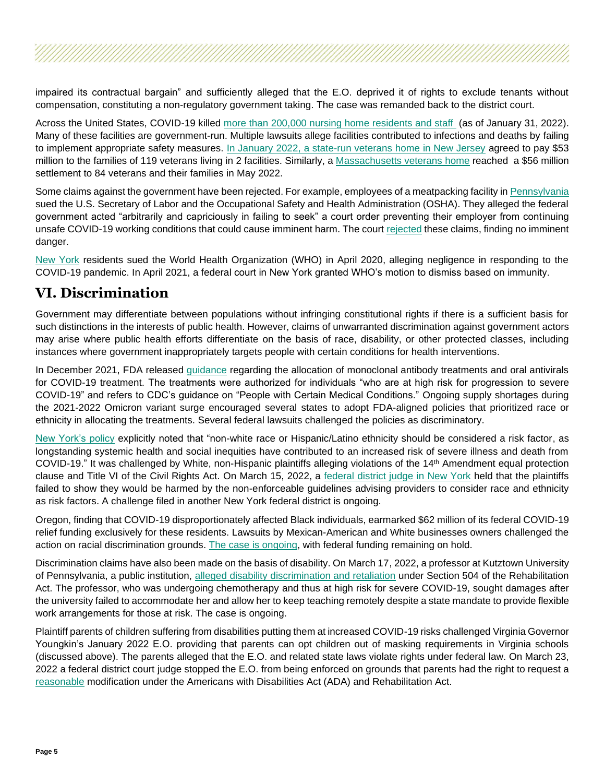impaired its contractual bargain" and sufficiently alleged that the E.O. deprived it of rights to exclude tenants without compensation, constituting a non-regulatory government taking. The case was remanded back to the district court.

Across the United States, COVID-19 killed [more than 200,000 nursing home residents and staff](https://www.kff.org/policy-watch/over-200000-residents-and-staff-in-long-term-care-facilities-have-died-from-covid-19/) (as of January 31, 2022). Many of these facilities are government-run. Multiple lawsuits allege facilities contributed to infections and deaths by failing to implement appropriate safety measures. In January 2022, [a state-run veterans home in New Jersey](https://www.nytimes.com/2022/01/07/nyregion/nj-nursing-home-covid-settlement.html) agreed to pay \$53 million to the families of 119 veterans living in 2 facilities. Similarly, a [Massachusetts veterans home](https://www.nytimes.com/2022/05/12/us/massachusetts-nursing-home-vets-covid.html) reached a \$56 million settlement to 84 veterans and their families in May 2022.

Some claims against the government have been rejected. For example, employees of a meatpacking facility i[n Pennsylvania](https://www.law360.com/articles/1370471/attachments/1) sued the U.S. Secretary of Labor and the Occupational Safety and Health Administration (OSHA). They alleged the federal government acted "arbitrarily and capriciously in failing to seek" a court order preventing their employer from continuing unsafe COVID-19 working conditions that could cause imminent harm. The court [rejected](https://www.law360.com/articles/1370471/osha-escapes-pa-meatpackers-covid-19-protocols-suit) these claims, finding no imminent danger.

[New York](https://law.justia.com/cases/federal/district-courts/new-york/nysdce/7:2020cv03124/535961/40/) residents sued the World Health Organization (WHO) in April 2020, alleging negligence in responding to the COVID-19 pandemic. In April 2021, a federal court in New York granted WHO's motion to dismiss based on immunity.

#### **VI. Discrimination**

Government may differentiate between populations without infringing constitutional rights if there is a sufficient basis for such distinctions in the interests of public health. However, claims of unwarranted discrimination against government actors may arise where public health efforts differentiate on the basis of race, disability, or other protected classes, including instances where government inappropriately targets people with certain conditions for health interventions.

In December 2021, FDA released [guidance](https://www.fda.gov/media/149534/download) regarding the allocation of monoclonal antibody treatments and oral antivirals for COVID-19 treatment. The treatments were authorized for individuals "who are at high risk for progression to severe COVID-19" and refers to CDC's guidance on "People with Certain Medical Conditions." Ongoing supply shortages during the 2021-2022 Omicron variant surge encouraged several states to adopt FDA-aligned policies that prioritized race or ethnicity in allocating the treatments. Several federal lawsuits challenged the policies as discriminatory.

[New York's policy](https://www.scribd.com/document/552151504/Prioritization-of-Mabs-During-Resource-Shortages-20211229#from_embed) explicitly noted that "non-white race or Hispanic/Latino ethnicity should be considered a risk factor, as longstanding systemic health and social inequities have contributed to an increased risk of severe illness and death from COVID-19." It was challenged by White, non-Hispanic plaintiffs alleging violations of the 14th Amendment equal protection clause and Title VI of the Civil Rights Act. On March 15, 2022, a [federal district judge in New York](https://www.bloomberglaw.com/document/X14QM2DE0000N?) held that the plaintiffs failed to show they would be harmed by the non-enforceable guidelines advising providers to consider race and ethnicity as risk factors. A challenge filed in another New York federal district is ongoing.

Oregon, finding that COVID-19 disproportionately affected Black individuals, earmarked \$62 million of its federal COVID-19 relief funding exclusively for these residents. Lawsuits by Mexican-American and White businesses owners challenged the action on racial discrimination grounds. [The case is ongoing,](https://www.nytimes.com/2021/01/03/us/oregon-cares-fund-lawsuit.html) with federal funding remaining on hold.

Discrimination claims have also been made on the basis of disability. On March 17, 2022, a professor at Kutztown University of Pennsylvania, a public institution, alleged [disability discrimination and retaliation](https://www.law360.com/articles/1475529/attachments/0) under Section 504 of the Rehabilitation Act. The professor, who was undergoing chemotherapy and thus at high risk for severe COVID-19, sought damages after the university failed to accommodate her and allow her to keep teaching remotely despite a state mandate to provide flexible work arrangements for those at risk. The case is ongoing.

Plaintiff parents of children suffering from disabilities putting them at increased COVID-19 risks challenged Virginia Governor Youngkin's January 2022 E.O. providing that parents can opt children out of masking requirements in Virginia schools (discussed above). The parents alleged that the E.O. and related state laws violate rights under federal law. On March 23, 2022 a federal district court judge stopped the E.O. from being enforced on grounds that parents had the right to request a [reasonable](https://casetext.com/case/seaman-v-virginia) modification under the Americans with Disabilities Act (ADA) and Rehabilitation Act.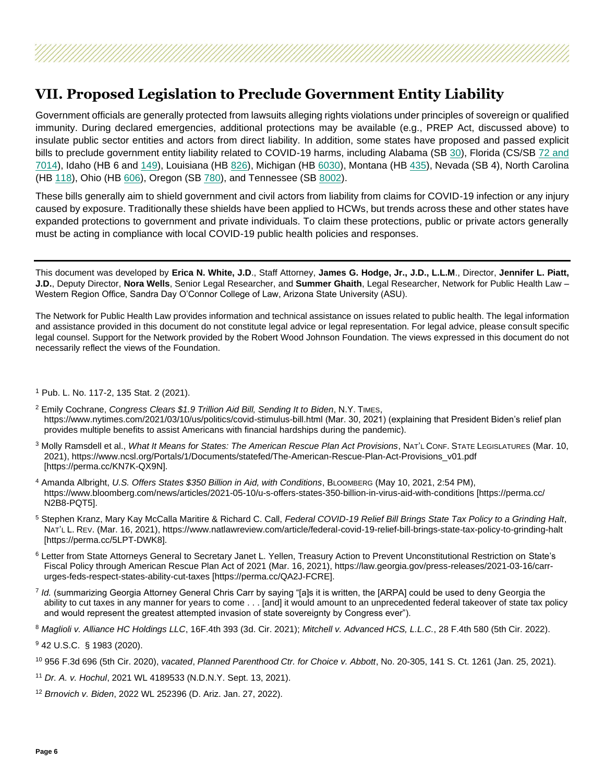## **VII. Proposed Legislation to Preclude Government Entity Liability**

Government officials are generally protected from lawsuits alleging rights violations under principles of sovereign or qualified immunity. During declared emergencies, additional protections may be available (e.g., PREP Act, discussed above) to insulate public sector entities and actors from direct liability. In addition, some states have proposed and passed explicit bills to preclude government entity liability related to COVID-19 harms, including Alabama (SB [30\)](https://legiscan.com/AL/bill/SB30/2021), Florida (CS/SB [72](https://www.flsenate.gov/Session/Bill/2021/72) and [7014\)](https://www.flsenate.gov/Session/Bill/2022/7014/BillText/er/PDF), Idaho (HB [6](https://legislature.idaho.gov/sessioninfo/2020spcl/legislation/h0006/) and [149\)](https://legislature.idaho.gov/sessioninfo/2021/legislation/H0149/), Louisiana (HB [826\)](https://www.legis.la.gov/legis/BillInfo.aspx?s=20RS&b=HB826&sbi=y), Michigan (HB [6030\)](http://www.legislature.mi.gov/(S(zu21a0nqc1e3hnerabn5r5if))/mileg.aspx?page=GetObject&objectname=2020-HB-6030), Montana (HB [435\)](https://leg.mt.gov/bills/2021/billpdf/HB0435.pdf), Nevada (SB [4\)](https://www.leg.state.nv.us/App/NELIS/REL/32nd2020Special/Bill/7156/Text), North Carolina (HB [118\)](https://legiscan.com/NC/text/H118/2019), Ohio (HB [606\)](https://www.legislature.ohio.gov/legislation/legislation-summary?id=GA133-HB-606), Oregon (SB [780\)](https://olis.oregonlegislature.gov/liz/2021R1/Measures/Overview/SB780), and Tennessee (SB [8002\)](https://wapp.capitol.tn.gov/apps/BillInfo/Default.aspx?BillNumber=SB8002&GA=111).

These bills generally aim to shield government and civil actors from liability from claims for COVID-19 infection or any injury caused by exposure. Traditionally these shields have been applied to HCWs, but trends across these and other states have expanded protections to government and private individuals. To claim these protections, public or private actors generally must be acting in compliance with local COVID-19 public health policies and responses.

This document was developed by **Erica N. White, J.D**., Staff Attorney, **James G. Hodge, Jr., J.D., L.L.M**., Director, **Jennifer L. Piatt, J.D.**, Deputy Director, **Nora Wells**, Senior Legal Researcher, and **Summer Ghaith**, Legal Researcher, Network for Public Health Law – Western Region Office, Sandra Day O'Connor College of Law, Arizona State University (ASU).

The Network for Public Health Law provides information and technical assistance on issues related to public health. The legal information and assistance provided in this document do not constitute legal advice or legal representation. For legal advice, please consult specific legal counsel. Support for the Network provided by the Robert Wood Johnson Foundation. The views expressed in this document do not necessarily reflect the views of the Foundation.

<sup>1</sup> Pub. L. No. 117-2, 135 Stat. 2 (2021).

- <sup>2</sup> Emily Cochrane, *Congress Clears \$1.9 Trillion Aid Bill, Sending It to Biden*, N.Y. TIMES, https://www.nytimes.com/2021/03/10/us/politics/covid-stimulus-bill.html (Mar. 30, 2021) (explaining that President Biden's relief plan provides multiple benefits to assist Americans with financial hardships during the pandemic).
- <sup>3</sup> Molly Ramsdell et al., *What It Means for States: The American Rescue Plan Act Provisions*, NAT'L CONF. STATE LEGISLATURES (Mar. 10, 2021), https://www.ncsl.org/Portals/1/Documents/statefed/The-American-Rescue-Plan-Act-Provisions\_v01.pdf [https://perma.cc/KN7K-QX9N].
- <sup>4</sup> Amanda Albright, *U.S. Offers States \$350 Billion in Aid, with Conditions*, BLOOMBERG (May 10, 2021, 2:54 PM), https://www.bloomberg.com/news/articles/2021-05-10/u-s-offers-states-350-billion-in-virus-aid-with-conditions [https://perma.cc/ N2B8-PQT5].
- <sup>5</sup> Stephen Kranz, Mary Kay McCalla Maritire & Richard C. Call, *Federal COVID-19 Relief Bill Brings State Tax Policy to a Grinding Halt*, NAT'L L. REV. (Mar. 16, 2021), https://www.natlawreview.com/article/federal-covid-19-relief-bill-brings-state-tax-policy-to-grinding-halt [https://perma.cc/5LPT-DWK8].
- <sup>6</sup> Letter from State Attorneys General to Secretary Janet L. Yellen, Treasury Action to Prevent Unconstitutional Restriction on State's Fiscal Policy through American Rescue Plan Act of 2021 (Mar. 16, 2021), https://law.georgia.gov/press-releases/2021-03-16/carrurges-feds-respect-states-ability-cut-taxes [https://perma.cc/QA2J-FCRE].
- 7 *Id.* (summarizing Georgia Attorney General Chris Carr by saying "[a]s it is written, the [ARPA] could be used to deny Georgia the ability to cut taxes in any manner for years to come . . . [and] it would amount to an unprecedented federal takeover of state tax policy and would represent the greatest attempted invasion of state sovereignty by Congress ever").
- <sup>8</sup> *Maglioli v. Alliance HC Holdings LLC*, 16F.4th 393 (3d. Cir. 2021); *Mitchell v. Advanced HCS, L.L.C.*, 28 F.4th 580 (5th Cir. 2022).
- <sup>9</sup> 42 U.S.C. § 1983 (2020).
- <sup>10</sup> 956 F.3d 696 (5th Cir. 2020), *vacated*, *Planned Parenthood Ctr. for Choice v. Abbott*, No. 20-305, 141 S. Ct. 1261 (Jan. 25, 2021).
- <sup>11</sup> *Dr. A. v. Hochul*, 2021 WL 4189533 (N.D.N.Y. Sept. 13, 2021).
- <sup>12</sup> *Brnovich v. Biden*, 2022 WL 252396 (D. Ariz. Jan. 27, 2022).